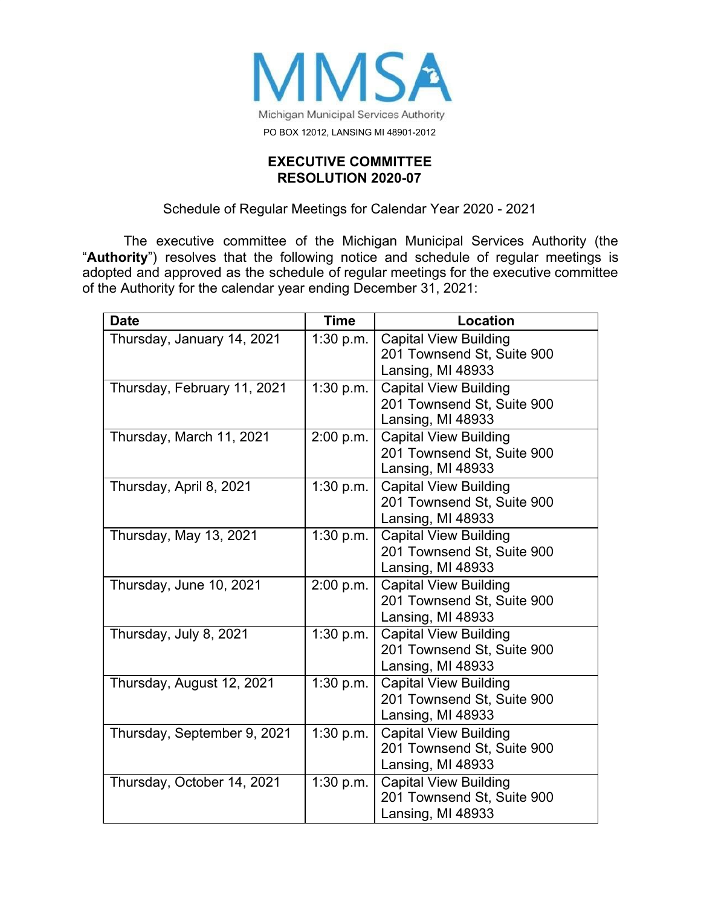

## **EXECUTIVE COMMITTEE RESOLUTION 2020-07**

## Schedule of Regular Meetings for Calendar Year 2020 - 2021

The executive committee of the Michigan Municipal Services Authority (the "**Authority**") resolves that the following notice and schedule of regular meetings is adopted and approved as the schedule of regular meetings for the executive committee of the Authority for the calendar year ending December 31, 2021:

| <b>Date</b>                 | <b>Time</b>                    | <b>Location</b>                                                                 |
|-----------------------------|--------------------------------|---------------------------------------------------------------------------------|
| Thursday, January 14, 2021  | 1:30 p.m.                      | <b>Capital View Building</b><br>201 Townsend St, Suite 900<br>Lansing, MI 48933 |
| Thursday, February 11, 2021 | 1:30 p.m.                      | <b>Capital View Building</b><br>201 Townsend St, Suite 900<br>Lansing, MI 48933 |
| Thursday, March 11, 2021    | 2:00 p.m.                      | <b>Capital View Building</b><br>201 Townsend St, Suite 900<br>Lansing, MI 48933 |
| Thursday, April 8, 2021     | 1:30 p.m.                      | <b>Capital View Building</b><br>201 Townsend St, Suite 900<br>Lansing, MI 48933 |
| Thursday, May 13, 2021      | 1:30 p.m.                      | <b>Capital View Building</b><br>201 Townsend St, Suite 900<br>Lansing, MI 48933 |
| Thursday, June 10, 2021     | 2:00 p.m.                      | <b>Capital View Building</b><br>201 Townsend St, Suite 900<br>Lansing, MI 48933 |
| Thursday, July 8, 2021      | 1:30 p.m.                      | <b>Capital View Building</b><br>201 Townsend St, Suite 900<br>Lansing, MI 48933 |
| Thursday, August 12, 2021   | 1:30 p.m.                      | <b>Capital View Building</b><br>201 Townsend St, Suite 900<br>Lansing, MI 48933 |
| Thursday, September 9, 2021 | 1:30 p.m.                      | <b>Capital View Building</b><br>201 Townsend St, Suite 900<br>Lansing, MI 48933 |
| Thursday, October 14, 2021  | $\overline{1:}30 \text{ p.m.}$ | <b>Capital View Building</b><br>201 Townsend St, Suite 900<br>Lansing, MI 48933 |